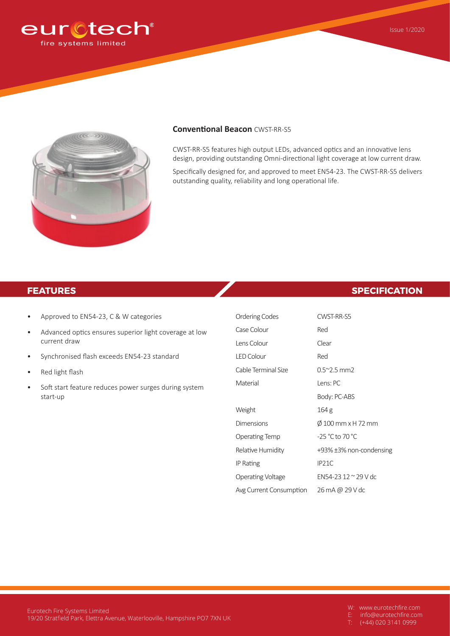



#### **Conventional Beacon** CWST-RR-S5

CWST-RR-S5 features high output LEDs, advanced optics and an innovative lens design, providing outstanding Omni-directional light coverage at low current draw.

Specifically designed for, and approved to meet EN54-23. The CWST-RR-S5 delivers outstanding quality, reliability and long operational life.

- Approved to EN54-23, C & W categories
- Advanced optics ensures superior light coverage at low current draw
- Synchronised flash exceeds EN54-23 standard
- Red light flash
- Soft start feature reduces power surges during system start-up

## **FEATURES SPECIFICATION**

| Ordering Codes          | CWST-RR-S5              |
|-------------------------|-------------------------|
| Case Colour             | Red                     |
| Lens Colour             | Clear                   |
| <b>LED Colour</b>       | Red                     |
| Cable Terminal Size     | $0.5^{\sim}$ 2.5 mm2    |
| Material                | Lens: PC                |
|                         | Body: PC-ABS            |
| Weight                  | 164 <sub>g</sub>        |
| Dimensions              | Ø 100 mm x H 72 mm      |
| Operating Temp          | -25 °C to 70 °C         |
| Relative Humidity       | +93% ±3% non-condensing |
| IP Rating               | IP <sub>21</sub> C      |
| Operating Voltage       | EN54-23 12 ~ 29 V dc    |
| Avg Current Consumption | 26 mA @ 29 V dc         |

E: info@eurotechfire.com

T: (+44) 020 3141 0999